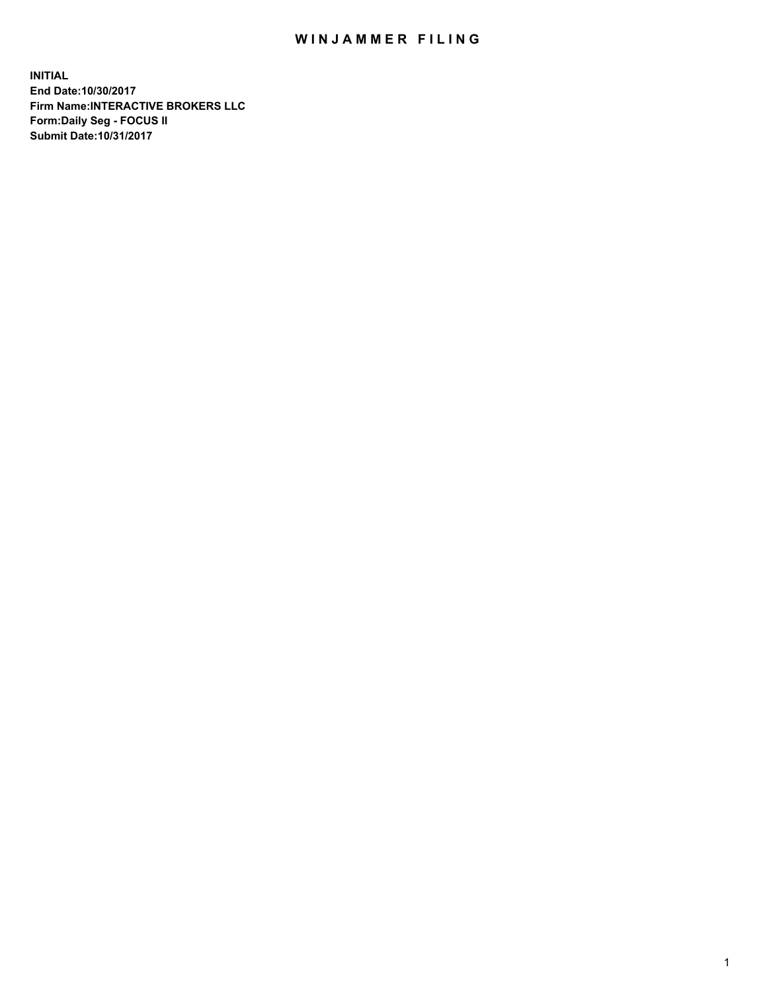## WIN JAMMER FILING

**INITIAL End Date:10/30/2017 Firm Name:INTERACTIVE BROKERS LLC Form:Daily Seg - FOCUS II Submit Date:10/31/2017**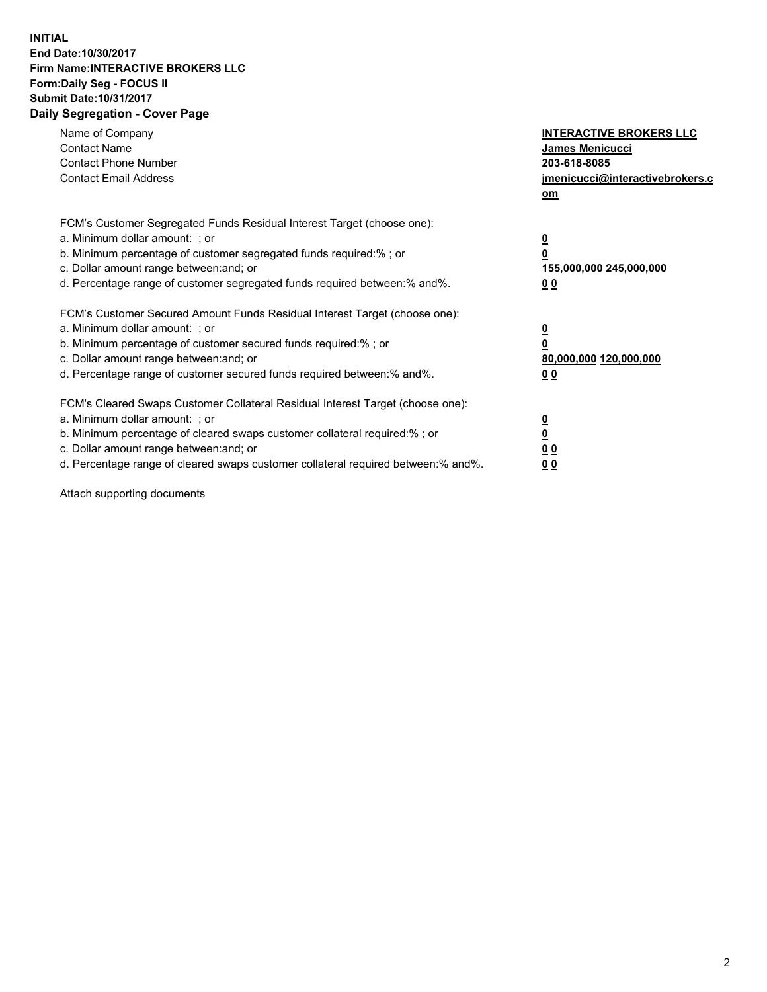## **INITIAL End Date:10/30/2017 Firm Name:INTERACTIVE BROKERS LLC Form:Daily Seg - FOCUS II Submit Date:10/31/2017 Daily Segregation - Cover Page**

| Name of Company<br><b>Contact Name</b><br><b>Contact Phone Number</b><br><b>Contact Email Address</b>                                                                                                                                                                                                                          | <b>INTERACTIVE BROKERS LLC</b><br><b>James Menicucci</b><br>203-618-8085<br>jmenicucci@interactivebrokers.c<br>om |
|--------------------------------------------------------------------------------------------------------------------------------------------------------------------------------------------------------------------------------------------------------------------------------------------------------------------------------|-------------------------------------------------------------------------------------------------------------------|
| FCM's Customer Segregated Funds Residual Interest Target (choose one):<br>a. Minimum dollar amount: ; or<br>b. Minimum percentage of customer segregated funds required:%; or<br>c. Dollar amount range between: and; or<br>d. Percentage range of customer segregated funds required between:% and%.                          | $\overline{\mathbf{0}}$<br>0<br>155,000,000 245,000,000<br>00                                                     |
| FCM's Customer Secured Amount Funds Residual Interest Target (choose one):<br>a. Minimum dollar amount: ; or<br>b. Minimum percentage of customer secured funds required:%; or<br>c. Dollar amount range between: and; or<br>d. Percentage range of customer secured funds required between: % and %.                          | $\overline{\mathbf{0}}$<br>0<br>80,000,000 120,000,000<br>0 <sub>0</sub>                                          |
| FCM's Cleared Swaps Customer Collateral Residual Interest Target (choose one):<br>a. Minimum dollar amount: ; or<br>b. Minimum percentage of cleared swaps customer collateral required:% ; or<br>c. Dollar amount range between: and; or<br>d. Percentage range of cleared swaps customer collateral required between:% and%. | $\overline{\mathbf{0}}$<br>$\overline{\mathbf{0}}$<br>0 <sub>0</sub><br><u>00</u>                                 |

Attach supporting documents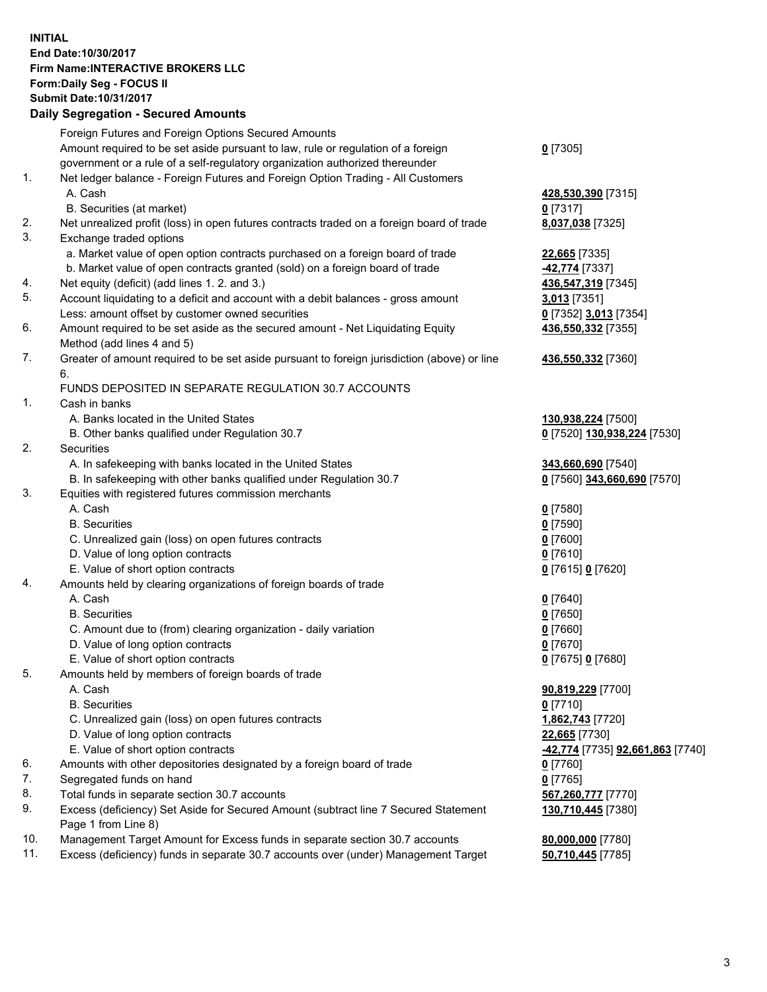## **INITIAL End Date:10/30/2017 Firm Name:INTERACTIVE BROKERS LLC Form:Daily Seg - FOCUS II Submit Date:10/31/2017 Daily Segregation - Secured Amounts**

|     | Daily Jegregation - Jeculed Aniounts                                                                       |                                  |
|-----|------------------------------------------------------------------------------------------------------------|----------------------------------|
|     | Foreign Futures and Foreign Options Secured Amounts                                                        |                                  |
|     | Amount required to be set aside pursuant to law, rule or regulation of a foreign                           | $0$ [7305]                       |
|     | government or a rule of a self-regulatory organization authorized thereunder                               |                                  |
| 1.  | Net ledger balance - Foreign Futures and Foreign Option Trading - All Customers                            |                                  |
|     | A. Cash                                                                                                    | 428,530,390 [7315]               |
|     | B. Securities (at market)                                                                                  | 0 [7317]                         |
| 2.  | Net unrealized profit (loss) in open futures contracts traded on a foreign board of trade                  | 8,037,038 [7325]                 |
| 3.  | Exchange traded options                                                                                    |                                  |
|     | a. Market value of open option contracts purchased on a foreign board of trade                             | 22,665 [7335]                    |
|     | b. Market value of open contracts granted (sold) on a foreign board of trade                               | 42,774 [7337]                    |
| 4.  | Net equity (deficit) (add lines 1.2. and 3.)                                                               | 436,547,319 [7345]               |
| 5.  | Account liquidating to a deficit and account with a debit balances - gross amount                          | 3,013 [7351]                     |
|     | Less: amount offset by customer owned securities                                                           | 0 [7352] 3,013 [7354]            |
| 6.  | Amount required to be set aside as the secured amount - Net Liquidating Equity                             | 436,550,332 [7355]               |
|     | Method (add lines 4 and 5)                                                                                 |                                  |
| 7.  | Greater of amount required to be set aside pursuant to foreign jurisdiction (above) or line                | 436,550,332 [7360]               |
|     | 6.                                                                                                         |                                  |
|     | FUNDS DEPOSITED IN SEPARATE REGULATION 30.7 ACCOUNTS                                                       |                                  |
| 1.  | Cash in banks                                                                                              |                                  |
|     | A. Banks located in the United States                                                                      | 130,938,224 [7500]               |
|     | B. Other banks qualified under Regulation 30.7                                                             | 0 [7520] 130,938,224 [7530]      |
| 2.  | Securities                                                                                                 |                                  |
|     | A. In safekeeping with banks located in the United States                                                  | 343,660,690 [7540]               |
|     | B. In safekeeping with other banks qualified under Regulation 30.7                                         | 0 [7560] 343,660,690 [7570]      |
| 3.  | Equities with registered futures commission merchants                                                      |                                  |
|     | A. Cash                                                                                                    | $0$ [7580]                       |
|     | <b>B.</b> Securities                                                                                       | $0$ [7590]                       |
|     | C. Unrealized gain (loss) on open futures contracts                                                        | $0$ [7600]                       |
|     | D. Value of long option contracts                                                                          | $0$ [7610]                       |
|     | E. Value of short option contracts                                                                         | 0 [7615] 0 [7620]                |
| 4.  | Amounts held by clearing organizations of foreign boards of trade                                          |                                  |
|     | A. Cash                                                                                                    | $0$ [7640]                       |
|     | <b>B.</b> Securities                                                                                       | $0$ [7650]                       |
|     | C. Amount due to (from) clearing organization - daily variation                                            | $0$ [7660]                       |
|     | D. Value of long option contracts                                                                          | $0$ [7670]                       |
|     | E. Value of short option contracts                                                                         | 0 [7675] 0 [7680]                |
| 5.  | Amounts held by members of foreign boards of trade                                                         |                                  |
|     | A. Cash                                                                                                    | 90,819,229 [7700]                |
|     | <b>B.</b> Securities                                                                                       | $0$ [7710]                       |
|     | C. Unrealized gain (loss) on open futures contracts                                                        | 1,862,743 [7720]                 |
|     | D. Value of long option contracts                                                                          | 22,665 [7730]                    |
|     | E. Value of short option contracts                                                                         | -42,774 [7735] 92,661,863 [7740] |
| 6.  | Amounts with other depositories designated by a foreign board of trade                                     | 0 [7760]                         |
| 7.  | Segregated funds on hand                                                                                   | $0$ [7765]                       |
| 8.  | Total funds in separate section 30.7 accounts                                                              | 567,260,777 [7770]               |
| 9.  | Excess (deficiency) Set Aside for Secured Amount (subtract line 7 Secured Statement<br>Page 1 from Line 8) | 130,710,445 [7380]               |
| 10. | Management Target Amount for Excess funds in separate section 30.7 accounts                                | 80,000,000 [7780]                |
| 11. | Excess (deficiency) funds in separate 30.7 accounts over (under) Management Target                         | 50,710,445 [7785]                |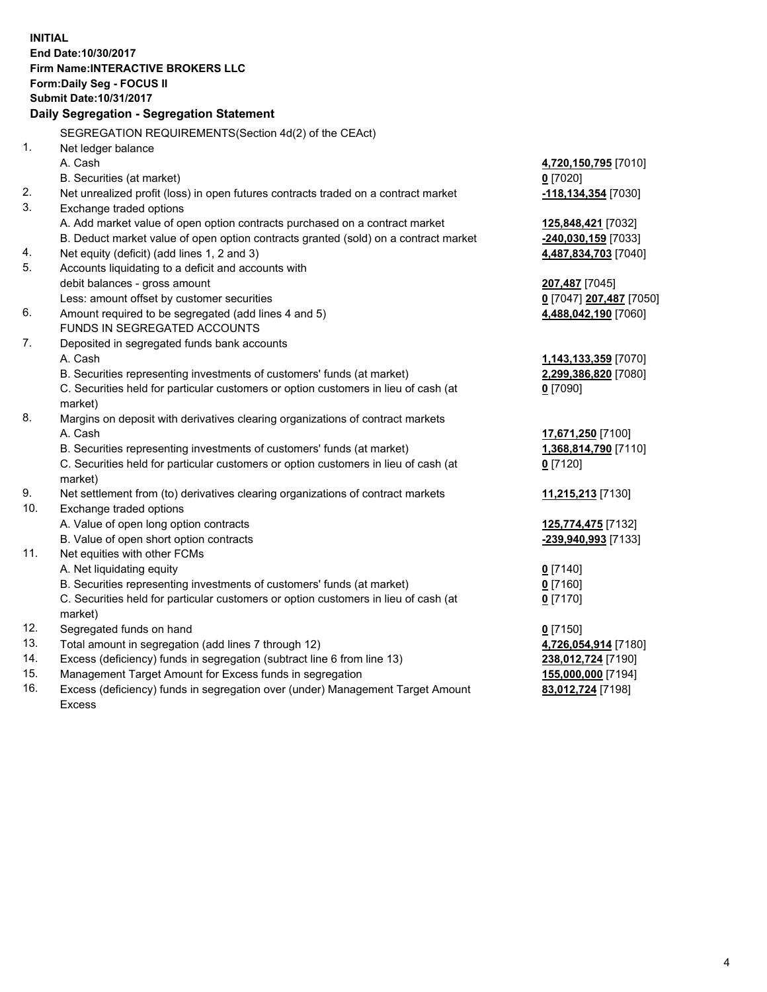**INITIAL End Date:10/30/2017 Firm Name:INTERACTIVE BROKERS LLC Form:Daily Seg - FOCUS II Submit Date:10/31/2017 Daily Segregation - Segregation Statement** SEGREGATION REQUIREMENTS(Section 4d(2) of the CEAct) 1. Net ledger balance A. Cash **4,720,150,795** [7010] B. Securities (at market) **0** [7020] 2. Net unrealized profit (loss) in open futures contracts traded on a contract market **-118,134,354** [7030] 3. Exchange traded options A. Add market value of open option contracts purchased on a contract market **125,848,421** [7032] B. Deduct market value of open option contracts granted (sold) on a contract market **-240,030,159** [7033] 4. Net equity (deficit) (add lines 1, 2 and 3) **4,487,834,703** [7040] 5. Accounts liquidating to a deficit and accounts with debit balances - gross amount **207,487** [7045] Less: amount offset by customer securities **0** [7047] **207,487** [7050] 6. Amount required to be segregated (add lines 4 and 5) **4,488,042,190** [7060] FUNDS IN SEGREGATED ACCOUNTS 7. Deposited in segregated funds bank accounts A. Cash **1,143,133,359** [7070] B. Securities representing investments of customers' funds (at market) **2,299,386,820** [7080] C. Securities held for particular customers or option customers in lieu of cash (at market) **0** [7090] 8. Margins on deposit with derivatives clearing organizations of contract markets A. Cash **17,671,250** [7100] B. Securities representing investments of customers' funds (at market) **1,368,814,790** [7110] C. Securities held for particular customers or option customers in lieu of cash (at market) **0** [7120] 9. Net settlement from (to) derivatives clearing organizations of contract markets **11,215,213** [7130] 10. Exchange traded options A. Value of open long option contracts **125,774,475** [7132] B. Value of open short option contracts **-239,940,993** [7133] 11. Net equities with other FCMs A. Net liquidating equity **0** [7140] B. Securities representing investments of customers' funds (at market) **0** [7160] C. Securities held for particular customers or option customers in lieu of cash (at market) **0** [7170] 12. Segregated funds on hand **0** [7150] 13. Total amount in segregation (add lines 7 through 12) **4,726,054,914** [7180] 14. Excess (deficiency) funds in segregation (subtract line 6 from line 13) **238,012,724** [7190] 15. Management Target Amount for Excess funds in segregation **155,000,000** [7194] **83,012,724** [7198]

16. Excess (deficiency) funds in segregation over (under) Management Target Amount Excess